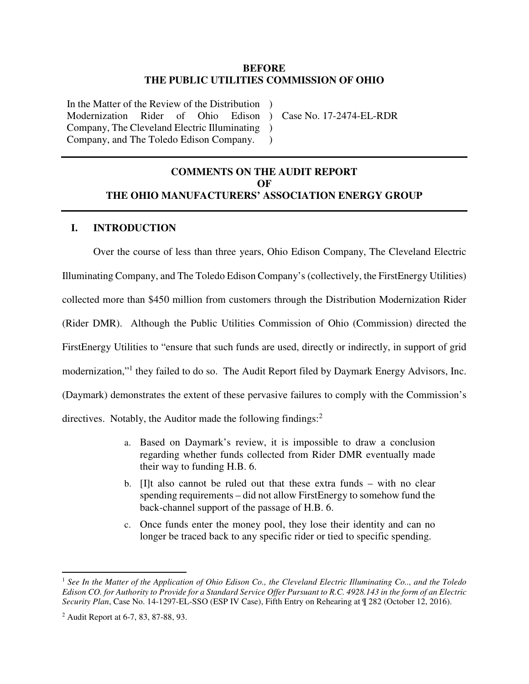#### **BEFORE THE PUBLIC UTILITIES COMMISSION OF OHIO**

In the Matter of the Review of the Distribution ) Modernization Rider of Ohio Company, The Cleveland Electric Illuminating ) Company, and The Toledo Edison Company.

) Case No. 17-2474-EL-RDR

### **COMMENTS ON THE AUDIT REPORT OF THE OHIO MANUFACTURERS' ASSOCIATION ENERGY GROUP**

 $\lambda$ 

#### **I. INTRODUCTION**

Over the course of less than three years, Ohio Edison Company, The Cleveland Electric Illuminating Company, and The Toledo Edison Company's (collectively, the FirstEnergy Utilities) collected more than \$450 million from customers through the Distribution Modernization Rider (Rider DMR). Although the Public Utilities Commission of Ohio (Commission) directed the FirstEnergy Utilities to "ensure that such funds are used, directly or indirectly, in support of grid modernization,"<sup>1</sup> they failed to do so. The Audit Report filed by Daymark Energy Advisors, Inc. (Daymark) demonstrates the extent of these pervasive failures to comply with the Commission's directives. Notably, the Auditor made the following findings:<sup>2</sup>

- a. Based on Daymark's review, it is impossible to draw a conclusion regarding whether funds collected from Rider DMR eventually made their way to funding H.B. 6.
- b. [I]t also cannot be ruled out that these extra funds with no clear spending requirements – did not allow FirstEnergy to somehow fund the back-channel support of the passage of H.B. 6.
- c. Once funds enter the money pool, they lose their identity and can no longer be traced back to any specific rider or tied to specific spending.

<sup>1</sup> *See In the Matter of the Application of Ohio Edison Co., the Cleveland Electric Illuminating Co.., and the Toledo Edison CO. for Authority to Provide for a Standard Service Offer Pursuant to R.C. 4928.143 in the form of an Electric Security Plan*, Case No. 14-1297-EL-SSO (ESP IV Case), Fifth Entry on Rehearing at ¶ 282 (October 12, 2016).

<sup>&</sup>lt;sup>2</sup> Audit Report at 6-7, 83, 87-88, 93.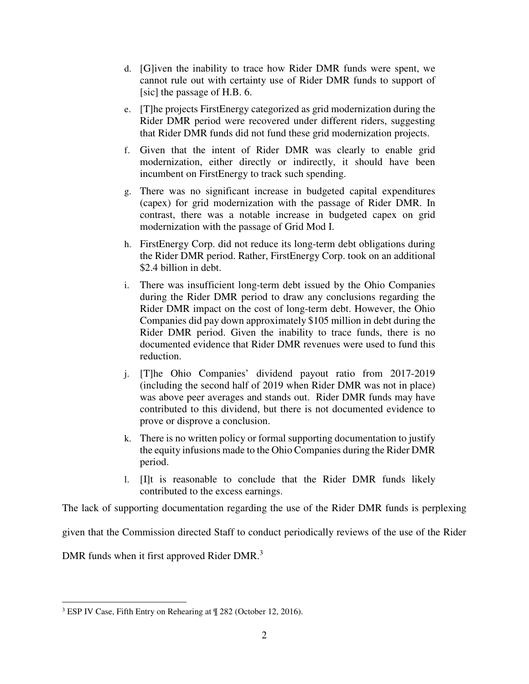- d. [G]iven the inability to trace how Rider DMR funds were spent, we cannot rule out with certainty use of Rider DMR funds to support of [sic] the passage of H.B. 6.
- e. [T]he projects FirstEnergy categorized as grid modernization during the Rider DMR period were recovered under different riders, suggesting that Rider DMR funds did not fund these grid modernization projects.
- f. Given that the intent of Rider DMR was clearly to enable grid modernization, either directly or indirectly, it should have been incumbent on FirstEnergy to track such spending.
- g. There was no significant increase in budgeted capital expenditures (capex) for grid modernization with the passage of Rider DMR. In contrast, there was a notable increase in budgeted capex on grid modernization with the passage of Grid Mod I.
- h. FirstEnergy Corp. did not reduce its long-term debt obligations during the Rider DMR period. Rather, FirstEnergy Corp. took on an additional \$2.4 billion in debt.
- i. There was insufficient long-term debt issued by the Ohio Companies during the Rider DMR period to draw any conclusions regarding the Rider DMR impact on the cost of long-term debt. However, the Ohio Companies did pay down approximately \$105 million in debt during the Rider DMR period. Given the inability to trace funds, there is no documented evidence that Rider DMR revenues were used to fund this reduction.
- j. [T]he Ohio Companies' dividend payout ratio from 2017-2019 (including the second half of 2019 when Rider DMR was not in place) was above peer averages and stands out. Rider DMR funds may have contributed to this dividend, but there is not documented evidence to prove or disprove a conclusion.
- k. There is no written policy or formal supporting documentation to justify the equity infusions made to the Ohio Companies during the Rider DMR period.
- l. [I]t is reasonable to conclude that the Rider DMR funds likely contributed to the excess earnings.

The lack of supporting documentation regarding the use of the Rider DMR funds is perplexing

given that the Commission directed Staff to conduct periodically reviews of the use of the Rider

DMR funds when it first approved Rider DMR.<sup>3</sup>

<sup>&</sup>lt;sup>3</sup> ESP IV Case, Fifth Entry on Rehearing at  $\mathbb{I}$  282 (October 12, 2016).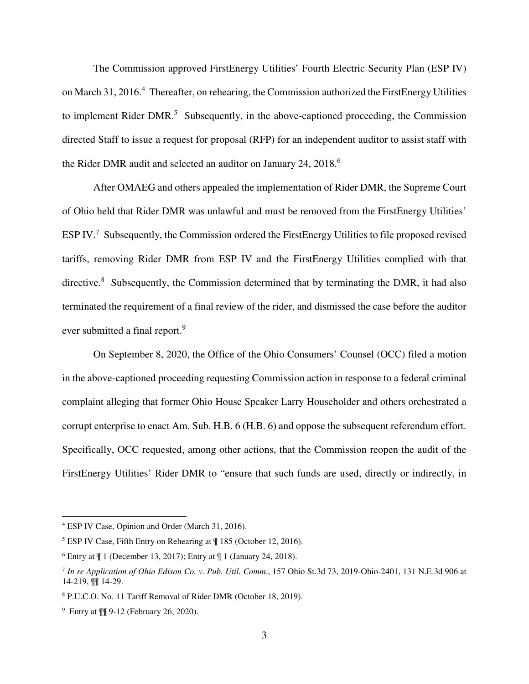The Commission approved FirstEnergy Utilities' Fourth Electric Security Plan (ESP IV) on March 31, 2016.<sup>4</sup> Thereafter, on rehearing, the Commission authorized the FirstEnergy Utilities to implement Rider DMR.<sup>5</sup> Subsequently, in the above-captioned proceeding, the Commission directed Staff to issue a request for proposal (RFP) for an independent auditor to assist staff with the Rider DMR audit and selected an auditor on January 24, 2018.<sup>6</sup>

After OMAEG and others appealed the implementation of Rider DMR, the Supreme Court of Ohio held that Rider DMR was unlawful and must be removed from the FirstEnergy Utilities' ESP IV.<sup>7</sup> Subsequently, the Commission ordered the FirstEnergy Utilities to file proposed revised tariffs, removing Rider DMR from ESP IV and the FirstEnergy Utilities complied with that directive.<sup>8</sup> Subsequently, the Commission determined that by terminating the DMR, it had also terminated the requirement of a final review of the rider, and dismissed the case before the auditor ever submitted a final report.<sup>9</sup>

On September 8, 2020, the Office of the Ohio Consumers' Counsel (OCC) filed a motion in the above-captioned proceeding requesting Commission action in response to a federal criminal complaint alleging that former Ohio House Speaker Larry Householder and others orchestrated a corrupt enterprise to enact Am. Sub. H.B. 6 (H.B. 6) and oppose the subsequent referendum effort. Specifically, OCC requested, among other actions, that the Commission reopen the audit of the FirstEnergy Utilities' Rider DMR to "ensure that such funds are used, directly or indirectly, in

<sup>4</sup> ESP IV Case, Opinion and Order (March 31, 2016).

<sup>5</sup> ESP IV Case, Fifth Entry on Rehearing at ¶ 185 (October 12, 2016).

 $6$  Entry at  $\text{\textsterling} 1$  (December 13, 2017); Entry at  $\text{\textsterling} 1$  (January 24, 2018).

<sup>7</sup> *In re Application of Ohio Edison Co. v. Pub. Util. Comm*., 157 Ohio St.3d 73, 2019-Ohio-2401, 131 N.E.3d 906 at 14-219, ¶¶ 14-29.

<sup>8</sup> P.U.C.O. No. 11 Tariff Removal of Rider DMR (October 18, 2019).

<sup>9</sup> Entry at ¶¶ 9-12 (February 26, 2020).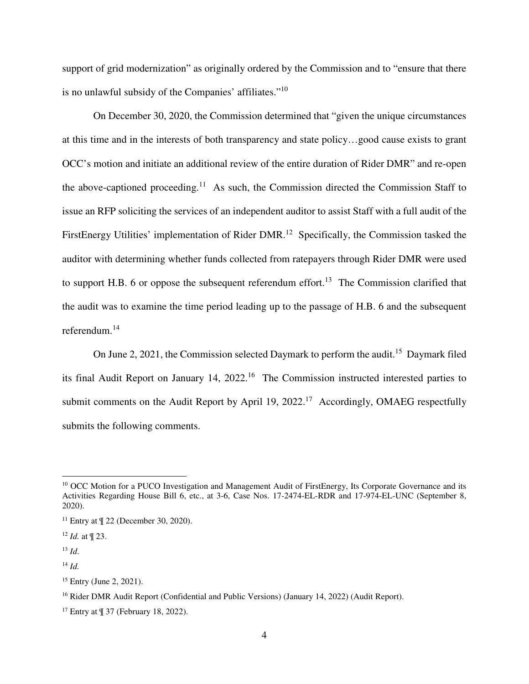support of grid modernization" as originally ordered by the Commission and to "ensure that there is no unlawful subsidy of the Companies' affiliates."<sup>10</sup>

On December 30, 2020, the Commission determined that "given the unique circumstances at this time and in the interests of both transparency and state policy…good cause exists to grant OCC's motion and initiate an additional review of the entire duration of Rider DMR" and re-open the above-captioned proceeding.<sup>11</sup> As such, the Commission directed the Commission Staff to issue an RFP soliciting the services of an independent auditor to assist Staff with a full audit of the FirstEnergy Utilities' implementation of Rider DMR.<sup>12</sup> Specifically, the Commission tasked the auditor with determining whether funds collected from ratepayers through Rider DMR were used to support H.B. 6 or oppose the subsequent referendum effort.<sup>13</sup> The Commission clarified that the audit was to examine the time period leading up to the passage of H.B. 6 and the subsequent referendum.<sup>14</sup>

On June 2, 2021, the Commission selected Daymark to perform the audit.<sup>15</sup> Daymark filed its final Audit Report on January 14, 2022.<sup>16</sup> The Commission instructed interested parties to submit comments on the Audit Report by April 19, 2022.<sup>17</sup> Accordingly, OMAEG respectfully submits the following comments.

<sup>&</sup>lt;sup>10</sup> OCC Motion for a PUCO Investigation and Management Audit of FirstEnergy, Its Corporate Governance and its Activities Regarding House Bill 6, etc., at 3-6, Case Nos. 17-2474-EL-RDR and 17-974-EL-UNC (September 8, 2020).

<sup>&</sup>lt;sup>11</sup> Entry at  $\P$  22 (December 30, 2020).

<sup>12</sup> *Id.* at ¶ 23.

<sup>13</sup> *Id*.

 $^{14}$  *Id.* 

<sup>15</sup> Entry (June 2, 2021).

<sup>&</sup>lt;sup>16</sup> Rider DMR Audit Report (Confidential and Public Versions) (January 14, 2022) (Audit Report).

 $17$  Entry at  $\P$  37 (February 18, 2022).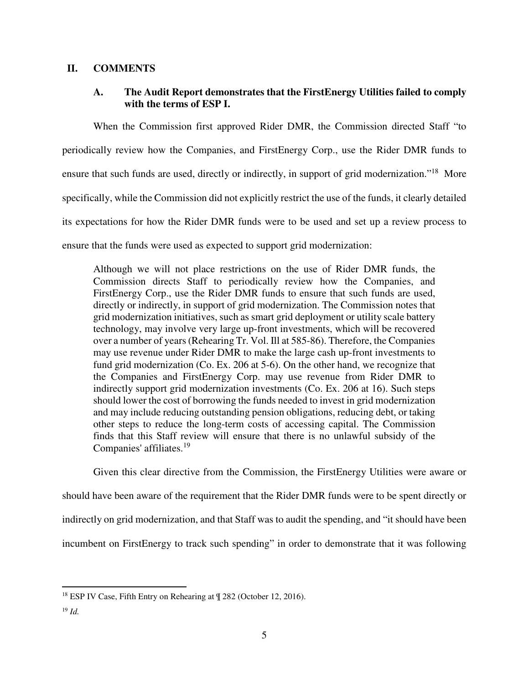#### **II. COMMENTS**

### **A. The Audit Report demonstrates that the FirstEnergy Utilities failed to comply with the terms of ESP I.**

When the Commission first approved Rider DMR, the Commission directed Staff "to periodically review how the Companies, and FirstEnergy Corp., use the Rider DMR funds to ensure that such funds are used, directly or indirectly, in support of grid modernization."<sup>18</sup> More specifically, while the Commission did not explicitly restrict the use of the funds, it clearly detailed its expectations for how the Rider DMR funds were to be used and set up a review process to ensure that the funds were used as expected to support grid modernization:

Although we will not place restrictions on the use of Rider DMR funds, the Commission directs Staff to periodically review how the Companies, and FirstEnergy Corp., use the Rider DMR funds to ensure that such funds are used, directly or indirectly, in support of grid modernization. The Commission notes that grid modernization initiatives, such as smart grid deployment or utility scale battery technology, may involve very large up-front investments, which will be recovered over a number of years (Rehearing Tr. Vol. Ill at 585-86). Therefore, the Companies may use revenue under Rider DMR to make the large cash up-front investments to fund grid modernization (Co. Ex. 206 at 5-6). On the other hand, we recognize that the Companies and FirstEnergy Corp. may use revenue from Rider DMR to indirectly support grid modernization investments (Co. Ex. 206 at 16). Such steps should lower the cost of borrowing the funds needed to invest in grid modernization and may include reducing outstanding pension obligations, reducing debt, or taking other steps to reduce the long-term costs of accessing capital. The Commission finds that this Staff review will ensure that there is no unlawful subsidy of the Companies' affiliates.<sup>19</sup>

Given this clear directive from the Commission, the FirstEnergy Utilities were aware or should have been aware of the requirement that the Rider DMR funds were to be spent directly or indirectly on grid modernization, and that Staff was to audit the spending, and "it should have been incumbent on FirstEnergy to track such spending" in order to demonstrate that it was following

<sup>18</sup> ESP IV Case, Fifth Entry on Rehearing at ¶ 282 (October 12, 2016).

<sup>19</sup> *Id.*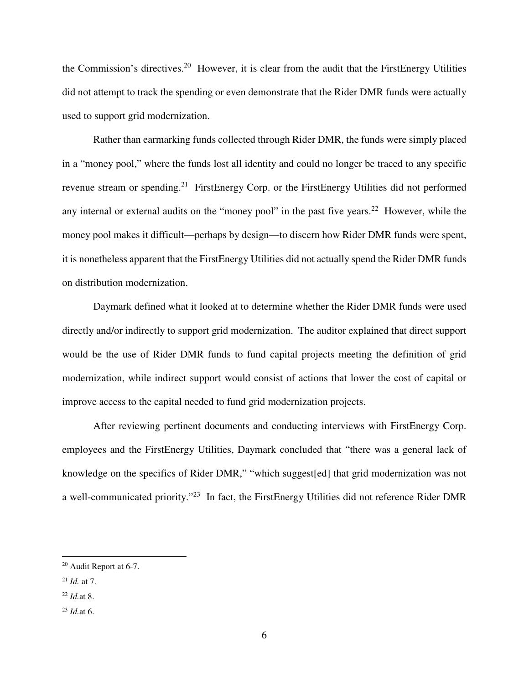the Commission's directives.<sup>20</sup> However, it is clear from the audit that the FirstEnergy Utilities did not attempt to track the spending or even demonstrate that the Rider DMR funds were actually used to support grid modernization.

Rather than earmarking funds collected through Rider DMR, the funds were simply placed in a "money pool," where the funds lost all identity and could no longer be traced to any specific revenue stream or spending.<sup>21</sup> FirstEnergy Corp. or the FirstEnergy Utilities did not performed any internal or external audits on the "money pool" in the past five years.<sup>22</sup> However, while the money pool makes it difficult—perhaps by design—to discern how Rider DMR funds were spent, it is nonetheless apparent that the FirstEnergy Utilities did not actually spend the Rider DMR funds on distribution modernization.

Daymark defined what it looked at to determine whether the Rider DMR funds were used directly and/or indirectly to support grid modernization. The auditor explained that direct support would be the use of Rider DMR funds to fund capital projects meeting the definition of grid modernization, while indirect support would consist of actions that lower the cost of capital or improve access to the capital needed to fund grid modernization projects.

After reviewing pertinent documents and conducting interviews with FirstEnergy Corp. employees and the FirstEnergy Utilities, Daymark concluded that "there was a general lack of knowledge on the specifics of Rider DMR," "which suggest[ed] that grid modernization was not a well-communicated priority."<sup>23</sup> In fact, the FirstEnergy Utilities did not reference Rider DMR

<sup>20</sup> Audit Report at 6-7.

<sup>21</sup> *Id.* at 7.

<sup>22</sup> *Id.*at 8.

<sup>23</sup> *Id.*at 6.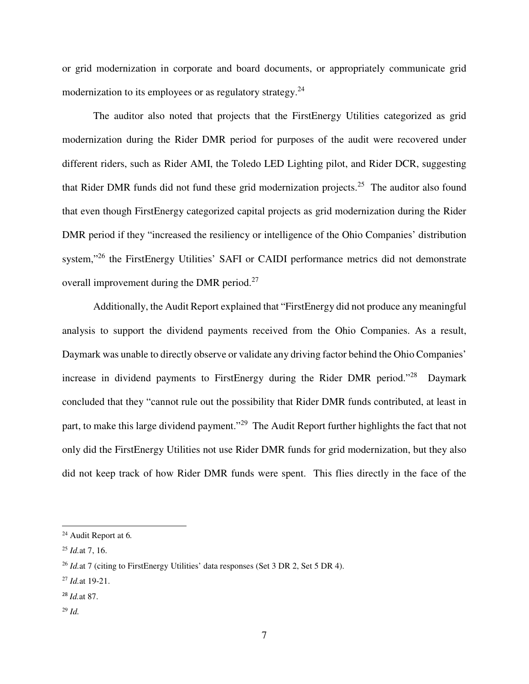or grid modernization in corporate and board documents, or appropriately communicate grid modernization to its employees or as regulatory strategy. $24$ 

The auditor also noted that projects that the FirstEnergy Utilities categorized as grid modernization during the Rider DMR period for purposes of the audit were recovered under different riders, such as Rider AMI, the Toledo LED Lighting pilot, and Rider DCR, suggesting that Rider DMR funds did not fund these grid modernization projects.<sup>25</sup> The auditor also found that even though FirstEnergy categorized capital projects as grid modernization during the Rider DMR period if they "increased the resiliency or intelligence of the Ohio Companies' distribution system,"<sup>26</sup> the FirstEnergy Utilities' SAFI or CAIDI performance metrics did not demonstrate overall improvement during the DMR period.<sup>27</sup>

Additionally, the Audit Report explained that "FirstEnergy did not produce any meaningful analysis to support the dividend payments received from the Ohio Companies. As a result, Daymark was unable to directly observe or validate any driving factor behind the Ohio Companies' increase in dividend payments to FirstEnergy during the Rider DMR period."<sup>28</sup> Daymark concluded that they "cannot rule out the possibility that Rider DMR funds contributed, at least in part, to make this large dividend payment."<sup>29</sup> The Audit Report further highlights the fact that not only did the FirstEnergy Utilities not use Rider DMR funds for grid modernization, but they also did not keep track of how Rider DMR funds were spent. This flies directly in the face of the

<sup>27</sup> *Id.*at 19-21.

<sup>29</sup> *Id.*

<sup>24</sup> Audit Report at 6*.*

<sup>25</sup> *Id.*at 7, 16.

<sup>&</sup>lt;sup>26</sup> *Id.*at 7 (citing to FirstEnergy Utilities' data responses (Set 3 DR 2, Set 5 DR 4).

<sup>28</sup> *Id.*at 87.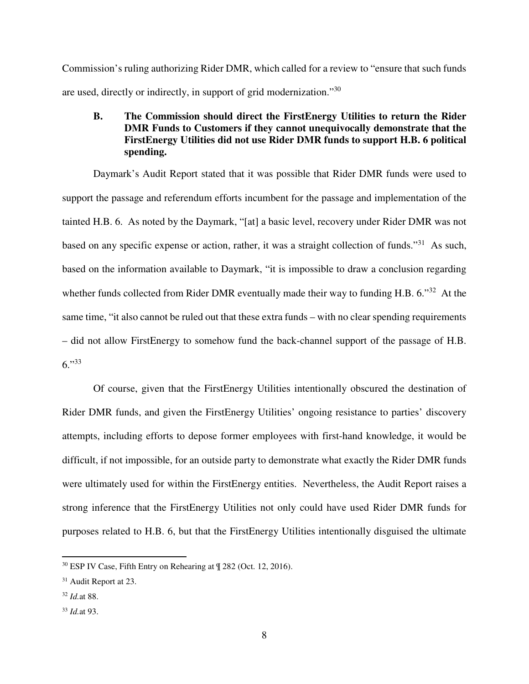Commission's ruling authorizing Rider DMR, which called for a review to "ensure that such funds are used, directly or indirectly, in support of grid modernization."<sup>30</sup>

### **B. The Commission should direct the FirstEnergy Utilities to return the Rider DMR Funds to Customers if they cannot unequivocally demonstrate that the FirstEnergy Utilities did not use Rider DMR funds to support H.B. 6 political spending.**

Daymark's Audit Report stated that it was possible that Rider DMR funds were used to support the passage and referendum efforts incumbent for the passage and implementation of the tainted H.B. 6. As noted by the Daymark, "[at] a basic level, recovery under Rider DMR was not based on any specific expense or action, rather, it was a straight collection of funds."<sup>31</sup> As such, based on the information available to Daymark, "it is impossible to draw a conclusion regarding whether funds collected from Rider DMR eventually made their way to funding H.B. 6.<sup>32</sup> At the same time, "it also cannot be ruled out that these extra funds – with no clear spending requirements – did not allow FirstEnergy to somehow fund the back-channel support of the passage of H.B.  $6. "33"$ 

Of course, given that the FirstEnergy Utilities intentionally obscured the destination of Rider DMR funds, and given the FirstEnergy Utilities' ongoing resistance to parties' discovery attempts, including efforts to depose former employees with first-hand knowledge, it would be difficult, if not impossible, for an outside party to demonstrate what exactly the Rider DMR funds were ultimately used for within the FirstEnergy entities. Nevertheless, the Audit Report raises a strong inference that the FirstEnergy Utilities not only could have used Rider DMR funds for purposes related to H.B. 6, but that the FirstEnergy Utilities intentionally disguised the ultimate

<sup>30</sup> ESP IV Case, Fifth Entry on Rehearing at ¶ 282 (Oct. 12, 2016).

<sup>31</sup> Audit Report at 23.

<sup>32</sup> *Id.*at 88.

<sup>33</sup> *Id.*at 93.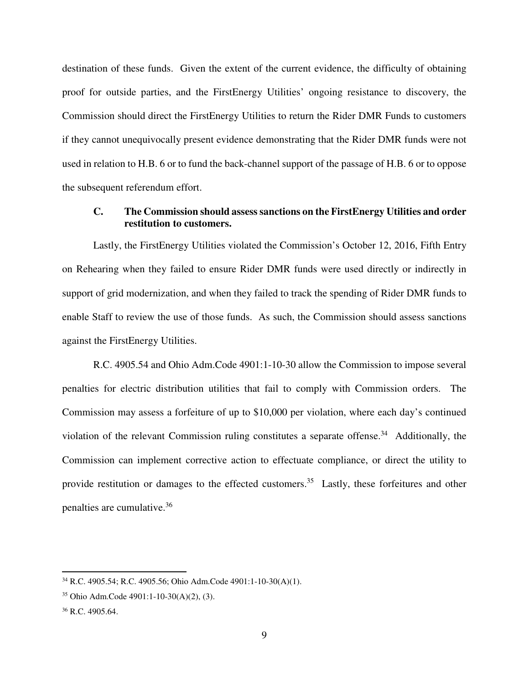destination of these funds. Given the extent of the current evidence, the difficulty of obtaining proof for outside parties, and the FirstEnergy Utilities' ongoing resistance to discovery, the Commission should direct the FirstEnergy Utilities to return the Rider DMR Funds to customers if they cannot unequivocally present evidence demonstrating that the Rider DMR funds were not used in relation to H.B. 6 or to fund the back-channel support of the passage of H.B. 6 or to oppose the subsequent referendum effort.

#### **C. The Commission should assess sanctions on the FirstEnergy Utilities and order restitution to customers.**

Lastly, the FirstEnergy Utilities violated the Commission's October 12, 2016, Fifth Entry on Rehearing when they failed to ensure Rider DMR funds were used directly or indirectly in support of grid modernization, and when they failed to track the spending of Rider DMR funds to enable Staff to review the use of those funds. As such, the Commission should assess sanctions against the FirstEnergy Utilities.

R.C. 4905.54 and Ohio Adm.Code 4901:1-10-30 allow the Commission to impose several penalties for electric distribution utilities that fail to comply with Commission orders. The Commission may assess a forfeiture of up to \$10,000 per violation, where each day's continued violation of the relevant Commission ruling constitutes a separate offense.<sup>34</sup> Additionally, the Commission can implement corrective action to effectuate compliance, or direct the utility to provide restitution or damages to the effected customers.<sup>35</sup> Lastly, these forfeitures and other penalties are cumulative.<sup>36</sup>

<sup>34</sup> R.C. 4905.54; R.C. 4905.56; Ohio Adm.Code 4901:1-10-30(A)(1).

<sup>35</sup> Ohio Adm.Code 4901:1-10-30(A)(2), (3).

<sup>&</sup>lt;sup>36</sup> R.C. 4905.64.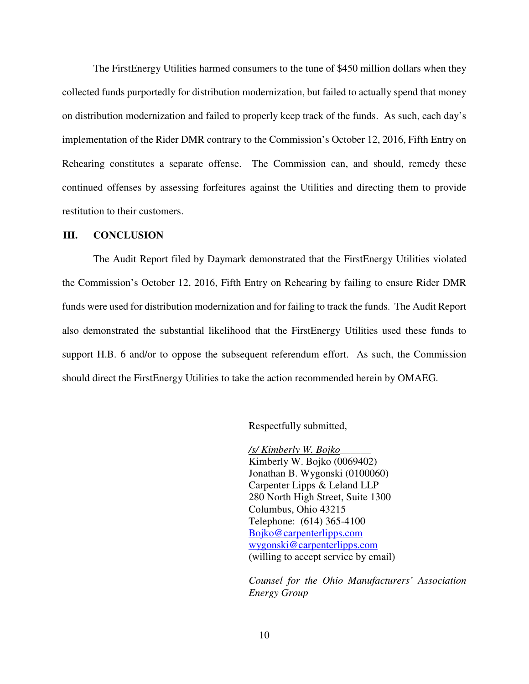The FirstEnergy Utilities harmed consumers to the tune of \$450 million dollars when they collected funds purportedly for distribution modernization, but failed to actually spend that money on distribution modernization and failed to properly keep track of the funds. As such, each day's implementation of the Rider DMR contrary to the Commission's October 12, 2016, Fifth Entry on Rehearing constitutes a separate offense. The Commission can, and should, remedy these continued offenses by assessing forfeitures against the Utilities and directing them to provide restitution to their customers.

#### **III. CONCLUSION**

The Audit Report filed by Daymark demonstrated that the FirstEnergy Utilities violated the Commission's October 12, 2016, Fifth Entry on Rehearing by failing to ensure Rider DMR funds were used for distribution modernization and for failing to track the funds. The Audit Report also demonstrated the substantial likelihood that the FirstEnergy Utilities used these funds to support H.B. 6 and/or to oppose the subsequent referendum effort. As such, the Commission should direct the FirstEnergy Utilities to take the action recommended herein by OMAEG.

Respectfully submitted,

 */s/ Kimberly W. Bojko\_\_\_\_\_\_*  Kimberly W. Bojko (0069402) Jonathan B. Wygonski (0100060) Carpenter Lipps & Leland LLP 280 North High Street, Suite 1300 Columbus, Ohio 43215 Telephone: (614) 365-4100 Bojko@carpenterlipps.com wygonski@carpenterlipps.com (willing to accept service by email)

*Counsel for the Ohio Manufacturers' Association Energy Group*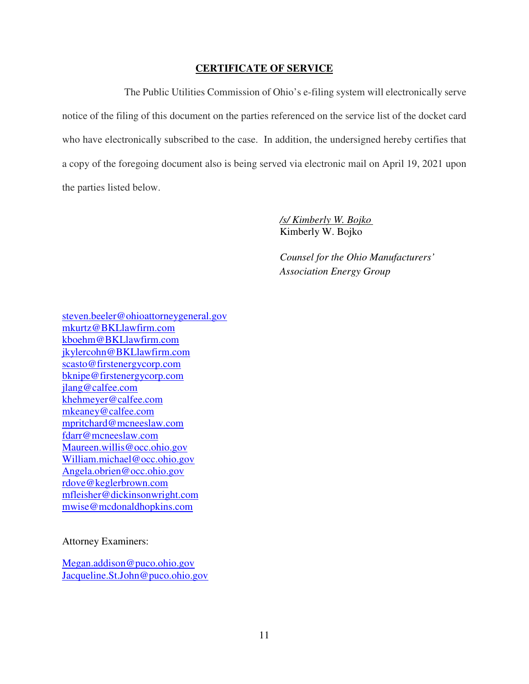#### **CERTIFICATE OF SERVICE**

The Public Utilities Commission of Ohio's e-filing system will electronically serve notice of the filing of this document on the parties referenced on the service list of the docket card who have electronically subscribed to the case. In addition, the undersigned hereby certifies that a copy of the foregoing document also is being served via electronic mail on April 19, 2021 upon the parties listed below.

> */s/ Kimberly W. Bojko*  Kimberly W. Bojko

*Counsel for the Ohio Manufacturers' Association Energy Group* 

steven.beeler@ohioattorneygeneral.gov mkurtz@BKLlawfirm.com kboehm@BKLlawfirm.com jkylercohn@BKLlawfirm.com scasto@firstenergycorp.com bknipe@firstenergycorp.com jlang@calfee.com khehmeyer@calfee.com mkeaney@calfee.com mpritchard@mcneeslaw.com fdarr@mcneeslaw.com Maureen.willis@occ.ohio.gov William.michael@occ.ohio.gov Angela.obrien@occ.ohio.gov rdove@keglerbrown.com mfleisher@dickinsonwright.com mwise@mcdonaldhopkins.com

Attorney Examiners:

Megan.addison@puco.ohio.gov Jacqueline.St.John@puco.ohio.gov